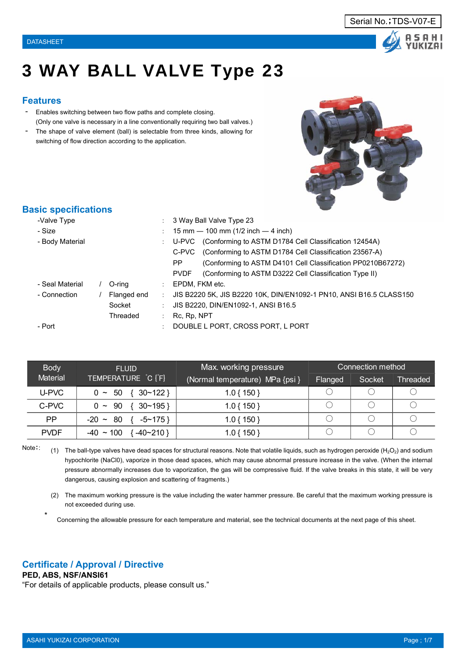



# 3 WAY BALL VALVE Type 23

#### **Features**

- Enables switching between two flow paths and complete closing. (Only one valve is necessary in a line conventionally requiring two ball valves.)
- The shape of valve element (ball) is selectable from three kinds, allowing for switching of flow direction according to the application.



#### **Basic specifications**

| -Valve Type     |             |               | 3 Way Ball Valve Type 23                                              |
|-----------------|-------------|---------------|-----------------------------------------------------------------------|
| - Size          |             |               | 15 mm $-$ 100 mm (1/2 inch $-$ 4 inch)                                |
| - Body Material |             |               | U-PVC (Conforming to ASTM D1784 Cell Classification 12454A)           |
|                 |             |               | C-PVC (Conforming to ASTM D1784 Cell Classification 23567-A)          |
|                 |             |               | (Conforming to ASTM D4101 Cell Classification PP0210B67272)<br>PP.    |
|                 |             |               | (Conforming to ASTM D3222 Cell Classification Type II)<br><b>PVDF</b> |
| - Seal Material | O-ring      | the con-      | EPDM, FKM etc.                                                        |
| - Connection    | Flanged end | $\mathcal{L}$ | JIS B2220 5K, JIS B2220 10K, DIN/EN1092-1 PN10, ANSI B16.5 CLASS150   |
|                 | Socket      |               | JIS B2220, DIN/EN1092-1, ANSI B16.5                                   |
|                 | Threaded    |               | Rc, Rp, NPT                                                           |
| - Port          |             |               | DOUBLE L PORT, CROSS PORT, L PORT                                     |

| <b>Body</b>     | <b>FLUID</b>                      | Max. working pressure           |         | Connection method |                 |
|-----------------|-----------------------------------|---------------------------------|---------|-------------------|-----------------|
| <b>Material</b> | TEMPERATURE C [F]                 | (Normal temperature) MPa {psi } | Flanged | Socket            | <b>Threaded</b> |
| U-PVC           | -50<br>30~122<br>$0 \sim$         | $1.0\{150\}$                    |         |                   |                 |
| C-PVC           | 30~195<br>90<br>$0 \sim$          | $1.0\{150\}$                    |         |                   |                 |
| PP              | $-5 \sim 175$<br>80<br>$-20 \sim$ | 1.0 { 150 }                     |         |                   |                 |
| <b>PVDF</b>     | $-40 \sim 100$<br>-40~210 }       | 1.0 { 150 $^{\degree}$          |         |                   |                 |

Note::

(1) The ball-type valves have dead spaces for structural reasons. Note that volatile liquids, such as hydrogen peroxide (H<sub>2</sub>O<sub>2</sub>) and sodium hypochlorite (NaCl0), vaporize in those dead spaces, which may cause abnormal pressure increase in the valve. (When the internal pressure abnormally increases due to vaporization, the gas will be compressive fluid. If the valve breaks in this state, it will be very dangerous, causing explosion and scattering of fragments.)

(2) The maximum working pressure is the value including the water hammer pressure. Be careful that the maximum working pressure is not exceeded during use.

Concerning the allowable pressure for each temperature and material, see the technical documents at the next page of this sheet.

#### **Certificate / Approval / Directive**

**PED, ABS, NSF/ANSI61**

\*

"For details of applicable products, please consult us."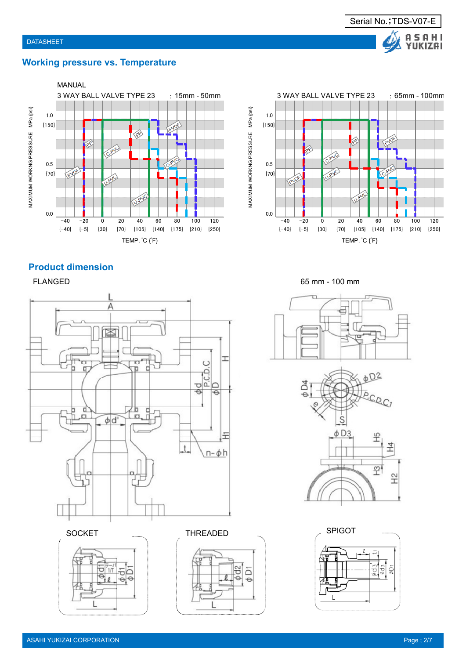

### **Working pressure vs. Temperature**





#### **Product dimension**

FLANGED





SOCKET **THREADED** 



65 mm - 100 mm



SPIGOT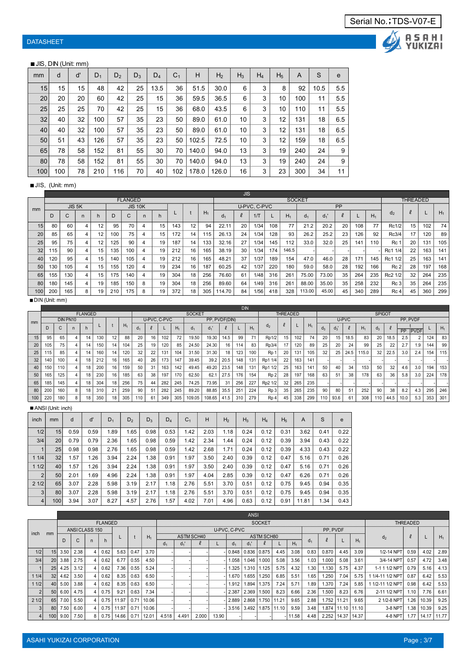# S A A S A H I<br>YUKIZAI

#### ■ JIS, DIN (Unit: mm)

| mm  | d   | ď  | $D_1$ | D <sub>2</sub> | $D_3$ | $D_4$ | C <sub>1</sub> | н     | H <sub>2</sub> | $H_3$ | $H_4$ | H <sub>5</sub> | A   | S    | e   |
|-----|-----|----|-------|----------------|-------|-------|----------------|-------|----------------|-------|-------|----------------|-----|------|-----|
| 15  | 15  | 15 | 48    | 42             | 25    | 13.5  | 36             | 51.5  | 30.0           | 6     | 3     | 8              | 92  | 10.5 | 5.5 |
| 20  | 20  | 20 | 60    | 42             | 25    | 15    | 36             | 59.5  | 36.5           | 6     | 3     | 10             | 100 | 11   | 5.5 |
| 25  | 25  | 25 | 70    | 42             | 25    | 15    | 36             | 68.0  | 43.5           | 6     | 3     | 10             | 110 | 11   | 5.5 |
| 32  | 40  | 32 | 100   | 57             | 35    | 23    | 50             | 89.0  | 61.0           | 10    | 3     | 12             | 131 | 18   | 6.5 |
| 40  | 40  | 32 | 100   | 57             | 35    | 23    | 50             | 89.0  | 61.0           | 10    | 3     | 12             | 131 | 18   | 6.5 |
| 50  | 51  | 43 | 126   | 57             | 35    | 23    | 50             | 102.5 | 72.5           | 10    | 3     | 12             | 159 | 18   | 6.5 |
| 65  | 78  | 58 | 152   | 81             | 55    | 30    | 70             | 140.0 | 94.0           | 13    | 3     | 19             | 240 | 24   | 9   |
| 80  | 78  | 58 | 152   | 81             | 55    | 30    | 70             | 140.0 | 94.0           | 13    | 3     | 19             | 240 | 24   | 9   |
| 100 | 100 | 78 | 210   | 116            | 70    | 40    | 102            | 178.0 | 126.0          | 16    | 3     | 23             | 300 | 34   | 11  |

#### ■JIS, (Unit: mm)

|     |     |             |   |    |     |                |                |    |     |    |       |                | <b>JIS</b> |              |     |       |                |                |           |     |       |                 |          |     |       |
|-----|-----|-------------|---|----|-----|----------------|----------------|----|-----|----|-------|----------------|------------|--------------|-----|-------|----------------|----------------|-----------|-----|-------|-----------------|----------|-----|-------|
|     |     |             |   |    |     | <b>FLANGED</b> |                |    |     |    |       |                |            |              |     |       | <b>SOCKET</b>  |                |           |     |       |                 | THREADED |     |       |
| mm  |     | JIS 5K      |   |    |     |                | <b>JIS 10K</b> |    |     |    |       |                |            | U-PVC, C-PVC |     |       |                |                | <b>PP</b> |     |       |                 |          |     |       |
|     |     | $\sim$<br>u |   |    | D   | $\sim$         |                |    |     |    | $H_1$ | d <sub>1</sub> |            | $1/\top$     |     | $H_1$ | d <sub>1</sub> | d <sub>1</sub> |           |     | $H_1$ | $d_2$           |          |     | $H_1$ |
| 15  | 80  | 60          | 4 | 12 | 95  | 70             |                | 15 | 143 | 12 | 94    | 22.11          | 20         | 1/34         | 108 | 77    | 21.2           | 20.2           | 20        | 108 | 77    | Rc1/2           | 15       | 102 | 74    |
| 20  | 85  | 65          | 4 | 12 | 100 | 75             | 4              | 15 | 172 | 14 | 115   | 26.13          | 24         | 1/34         | 128 | 93    | 26.2           | 25.2           | 23        | 126 | 92    | Rc3/4           | 17       | 120 | 89    |
| 25  | 95  | 75          | 4 | 12 | 125 | 90             |                | 19 | 187 | 14 | 133   | 32.16          | 27         | 1/34         | 145 | 112   | 33.0           | 32.0           | 25        | 141 | 110   | Rc 1            | 20       | 131 | 105   |
| 32  | 115 | 90          | 4 | 15 | 135 | 100            |                | 19 | 212 | 16 | 165   | 38.19          | 30         | 1/34         | 174 | 146.5 |                |                |           |     |       | Rc1 1/4         | 22       | 163 | 141   |
| 40  | 120 | 95          | 4 | 15 | 140 | 105            |                | 19 | 212 | 16 | 165   | 48.21          | 37         | 1/37         | 189 | 154   | 47.0           | 46.0           | 28        | 171 | 145   | Rc1 1/2         | 25       | 163 | 141   |
| 50  | 130 | 105         | 4 | 15 | 155 | 120            |                | 19 | 234 | 16 | 187   | 60.25          | 42         | 1/37         | 220 | 180   | 59.0           | 58.0           | 28        | 192 | 166   | Rc <sub>2</sub> | 28       | 197 | 168   |
| 65  | 155 | 130         | 4 | 15 | 175 | 140            |                | 19 | 304 | 18 | 256   | 76.60          | 61         | 1/48         | 316 | 261   | 75.00          | 73.00          | 35        | 264 | 235   | Rc2 1/2         | 32       | 264 | 235   |
| 80  | 180 | 145         | 4 | 19 | 185 | 150            | 8              | 19 | 304 | 18 | 256   | 89.60          | 64         | 1/49         | 316 | 261   | 88.00          | 35.00          | 35        | 258 | 232   | Re3             | 35       | 264 | 235   |
| 100 | 200 | 165         | 8 | 19 | 210 | 175            | 8              | 19 | 372 | 18 | 305   | 14.70          | 84         | 1/56         | 418 | 328   | 113.00         | 45.00          | 45        | 340 | 289   | Rc 4            | 45       | 360 | 299   |

#### ■DIN (Unit: mm)

|     |     |     |                |                |     |    |       |                |    |              |       |                |               |      | DIN |       |                  |                 |     |       |     |                 |       |       |                |      |           |             |     |       |
|-----|-----|-----|----------------|----------------|-----|----|-------|----------------|----|--------------|-------|----------------|---------------|------|-----|-------|------------------|-----------------|-----|-------|-----|-----------------|-------|-------|----------------|------|-----------|-------------|-----|-------|
|     |     |     |                | <b>FLANGED</b> |     |    |       |                |    |              |       | <b>SOCKET</b>  |               |      |     |       |                  | <b>THREADED</b> |     |       |     |                 |       |       | <b>SPIGOT</b>  |      |           |             |     |       |
| mm  |     |     | DIN PN10       |                |     |    |       |                |    | U-PVC, C-PVC |       |                | PP, PVDF(DIN) |      |     |       |                  |                 |     |       |     |                 | U-PVC |       |                |      | PP. PVDF  |             |     |       |
|     |     |     |                | h              |     |    | $H_1$ | d <sub>1</sub> |    |              | $H_1$ | Q <sub>1</sub> | $d_1$         |      |     | $H_1$ | d <sub>2</sub>   |                 |     | $H_1$ | d,  | $d_3$           | ¥.    | $H_1$ | a <sub>3</sub> |      | <b>PP</b> | <b>PVDF</b> |     | $H_1$ |
| 15  | 95  | 65  | 4              | 14             | 130 | 12 | 88    | 20             | 16 | 102          | 72    | 19.50          | 19.30         | 14.5 | 99  | 71    | Rp1/2            | 15              | 102 | 74    | 20  | 15              | 18.5  | 83    | 20             | 18.5 | 2.5       | 2           | 124 | 83    |
| 20  | 105 | 75  | $\overline{4}$ | 14             | 150 | 14 | 104   | 25             | 19 | 120          | 85    | 24.50          | 24.30         | 16   | 114 | 83    | Rp3/4            | 17              | 120 | 89    | 25  | 20              | 24    | 99    | 25             | 22   | 2.7       | 1.9         | 144 | 99    |
| 25  | 115 | 85  |                | 14             | 160 | 14 | 120   | 32             | 22 | 131          | 104   | 31.50          | 31.30         | 18   | 123 | 100   | R <sub>p</sub> 1 | 20              | 131 | 105   | 32  | 25 <sub>1</sub> | 24.5  | 115.0 | 32             | 22.5 | 3.0       | 2.4         | 154 | 115   |
| 32  | 140 | 100 | 4              | 18             | 212 | 16 | 165   | 40             | 26 | 173          | 147   | 39.45          | 39.2          | 20.5 | 148 | 131   | Rp1 1/4          | 22              | 163 | 141   |     |                 |       |       |                |      |           |             |     |       |
| 40  | 150 | 110 | 4              | 18             | 200 | 16 | 159   | 50             | 31 | 163          | 142   | 49.45          | 49.20         | 23.5 | 148 | 131   | Rp1 1/2          | 25              | 163 | 141   | 50  | 40              | 34    | 153   | 50             | 32   | 4.6       | 3.0         | 194 | 153   |
| 50  | 165 | 125 | 4              | 18             | 230 | 16 | 185   | 63             | 38 | 197          | 170   | 62.50          | 62.1          | 27.5 | 176 | 154   | R <sub>p</sub> 2 | 28              | 197 | 168   | 63  | 51              | 38    | 178   | 63             | 36   | 5.8       | 3.0         | 224 | 178   |
| 65  | 185 | 145 |                | 18             | 304 | 18 | 256   | 75             | 44 | 282          | 245   | 74.25          | 73.95         | 31   | 256 | 227   | Rp2 1/2          | 32              | 265 | 235   |     |                 |       |       |                |      |           |             |     |       |
| 80  | 200 | 160 | 8              | 18             | 310 | 21 | 259   | 90             | 51 | 282          | 245   | 89.20          | 88.85         | 35.5 | 251 | 224   | R <sub>p</sub> 3 | 35              | 265 | 235   | 90  | 80              | 51    | 252   | 90             | 38   | 8.2       | 4.3         | 295 | 246   |
| 100 | 220 | 180 | 8              | 18             | 350 | 18 | 305   | 110            | 61 | 349          | 305   | 109.05         | 108.65        | 41.5 | 310 | 279   | R <sub>p</sub> 4 | 45              | 338 | 299   | 110 | 93.6            | 61    | 308   | 110            | 44.5 | 10.0      | 5.3         | 353 | 301   |

#### ■ ANSI (Unit: inch)

| inch           | mm              | d    | ď    | $D_1$ | D <sub>2</sub> | $D_3$ | $D_4$ | C <sub>1</sub> | Н    | H <sub>2</sub> | $H_3$ | $H_4$ | H <sub>5</sub> | A     | S    | e    |
|----------------|-----------------|------|------|-------|----------------|-------|-------|----------------|------|----------------|-------|-------|----------------|-------|------|------|
| 1/2            | 15              | 0.59 | 0.59 | 1.89  | 1.65           | 0.98  | 0.53  | 1.42           | 2.03 | 1.18           | 0.24  | 0.12  | 0.31           | 3.62  | 0.41 | 0.22 |
| 3/4            | 20              | 0.79 | 0.79 | 2.36  | 1.65           | 0.98  | 0.59  | 1.42           | 2.34 | 1.44           | 0.24  | 0.12  | 0.39           | 3.94  | 0.43 | 0.22 |
|                | 25 <sub>l</sub> | 0.98 | 0.98 | 2.76  | 1.65           | 0.98  | 0.59  | 1.42           | 2.68 | 1.71           | 0.24  | 0.12  | 0.39           | 4.33  | 0.43 | 0.22 |
| 11/4           | 32              | 1.57 | 1.26 | 3.94  | 2.24           | 1.38  | 0.91  | 1.97           | 3.50 | 2.40           | 0.39  | 0.12  | 0.47           | 5.16  | 0.71 | 0.26 |
| 11/2           | 40              | 1.57 | 1.26 | 3.94  | 2.24           | 1.38  | 0.91  | 1.97           | 3.50 | 2.40           | 0.39  | 0.12  | 0.47           | 5.16  | 0.71 | 0.26 |
| 2              | 50              | 2.01 | 1.69 | 4.96  | 2.24           | 1.38  | 0.91  | 1.97           | 4.04 | 2.85           | 0.39  | 0.12  | 0.47           | 6.26  | 0.71 | 0.26 |
| 21/2           | 65              | 3.07 | 2.28 | 5.98  | 3.19           | 2.17  | 1.18  | 2.76           | 5.51 | 3.70           | 0.51  | 0.12  | 0.75           | 9.45  | 0.94 | 0.35 |
| $\mathbf{3}$   | 80              | 3.07 | 2.28 | 5.98  | 3.19           | 2.17  | 1.18  | 2.76           | 5.51 | 3.70           | 0.51  | 0.12  | 0.75           | 9.45  | 0.94 | 0.35 |
| 4 <sup>1</sup> | 100             | 3.94 | 3.07 | 8.27  | 4.57           | 2.76  | 1.57  | 4.02           | 7.01 | 4.96           | 0.63  | 0.12  | 0.91           | 11.81 | 1.34 | 0.43 |

|                |                  |      |               |   |                |       |      |                |                |       |            |       |                | <b>ANSI</b> |                   |             |          |       |              |                       |                   |                  |                   |       |       |
|----------------|------------------|------|---------------|---|----------------|-------|------|----------------|----------------|-------|------------|-------|----------------|-------------|-------------------|-------------|----------|-------|--------------|-----------------------|-------------------|------------------|-------------------|-------|-------|
|                |                  |      |               |   | <b>FLANGED</b> |       |      |                |                |       |            |       |                |             | <b>SOCKET</b>     |             |          |       |              |                       |                   |                  | <b>THREADED</b>   |       |       |
| inch           |                  |      | ANSICLASS 150 |   |                |       |      |                |                |       |            |       | U-PVC, C-PVC   |             |                   |             |          |       | PP, PVDF     |                       |                   |                  |                   |       |       |
|                | mm               |      | $\sim$        |   |                | L     |      | $H_1$          |                |       | ASTM SCH40 |       |                |             | <b>ASTM SCH80</b> |             |          |       |              |                       |                   | d <sub>2</sub>   | $\ell$            |       | $H_1$ |
|                |                  | D    |               | n |                |       |      |                | d <sub>1</sub> | $d_1$ |            |       | d <sub>1</sub> | $d_1$       |                   |             | $H_1$    | $d_1$ |              |                       | $H_1$             |                  |                   |       |       |
| 1/2            | 15               | 3.50 | 2.38          | 4 | 0.62           | 5.63  | 0.47 | 3.70           |                |       |            |       | 0.848          |             | $0.836$ $ 0.875$  | 4.45        | 3.08     | 0.83  | 0.870        | 4.45                  | 3.09              | 1/2-14 NPT       | 0.59              | 4.02  | 2.89  |
| 3/4            | 20               | 3.88 | 2.75          | 4 | 0.62           | 6.77  | 0.55 | 4.50           |                |       |            |       | 1.058          | 1.046       | 1.000             | 5.08        | 3.56     | 1.03  | 1.000        | 5.08                  | 3.61              | 3/4-14 NPT       | 0.57              | 4.72  | 3.48  |
|                | 25               | 4.25 | 3.12          | 4 | 0.62           | 7.36  | 0.55 | 5.24           |                |       |            |       | 1.325          | 1.310       | 1.125             | 5.75        | 4.32     | 1.30  | 1.130        | 5.75                  | 4.37              | 1-1 1 1/2 NPT    | 0.79              | 5.16  | 4.13  |
| 11/4           | 32               | 4.62 | 3.50          | 4 | 0.62           | 8.35  | 0.63 | 6.50           |                |       |            |       | 1.670          | 1.655       | .250              | 6.85        | 5.51     | 1.65  | .250         | 7.04                  | 5.75              | 1/4-11 1/2 NPT   | 0.87              | 6.42  | 5.53  |
| 11/2           | 40               | 5.00 | 3.88          | 4 | 0.62           | 8.35  | 0.63 | 6.50           |                |       |            |       | 1.912          | 1.894       | 1.375             | 7.24        | 5.71     | 1.89  | 1.370        | 7.24                  | 5.85              | 1 1/2-11 1/2 NPT | 0.98              | 6.42  | 5.53  |
| 2 <sup>1</sup> | 50 <sub>1</sub>  | 6.00 | 4.75          | 4 | 0.75           | 9.21  | 0.63 | 7.34           |                |       |            |       | 2.387          | 2.369       | 1.500             | 8.23        | 6.66     | 2.36  | 1.500        | 8.23                  | 6.76              | 2-11 1/2 NPT     | 1.10              | 7.76  | 6.61  |
| 21/2           | 65               | 7.00 | 5.50          |   | 0.75           | 11.97 | 0.71 | 10.06          |                |       |            |       | 2.889          | 2.868       |                   | 1.750 11.21 | 9.65     | 2.88  | 1.752 111.21 |                       | 9.65              | 2 1/2-8 NPT      | 1.26              | 10.39 | 9.25  |
| 3 <sup>1</sup> | 80               | 7.50 | 6.00          | 4 | 0.75           | 11.97 | 0.71 | 10.06          |                |       |            |       | 3.516          |             | 3.492 1.875 11.10 |             | 9.59     | 3.48  |              |                       | 1.874 11.10 11.10 | 3-8 NPT          | 1.38              | 10.39 | 9.25  |
| 4 <sup>1</sup> | 100 <sub>l</sub> | 9.00 | 7.50          |   | 0.75           | 14.66 |      | $0.71$   12.01 | 4.518          | 4.491 | 2.000      | 13.90 |                |             |                   |             | -  11.58 | 4.48  |              | 2.252   14.37   14.37 |                   | 4-8 NPT          | 1.77 <sup>1</sup> | 14.17 | 11.77 |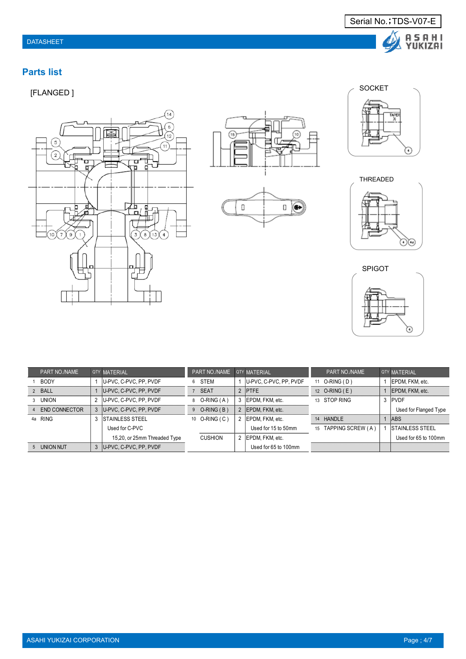# **Parts list**













| PART NO./NAME                   |               | <b>QTY MATERIAL</b>          | PART NO./NAME COTY MATERIAL |                        |    | PART NO./NAME        | <b>OTY MATERIAL</b>     |
|---------------------------------|---------------|------------------------------|-----------------------------|------------------------|----|----------------------|-------------------------|
| <b>BODY</b>                     |               | U-PVC, C-PVC, PP, PVDF       | 6 STEM                      | U-PVC, C-PVC, PP, PVDF | 11 | O-RING (D)           | EPDM, FKM, etc.         |
| 2 BALL                          |               | IU-PVC, C-PVC, PP, PVDF      | 7 SEAT                      | 2 IPTFF                |    | 12 O-RING (E)        | IEPDM. FKM. etc.        |
| UNION                           | $\mathcal{P}$ | U-PVC, C-PVC, PP, PVDF       | O-RING (A)                  | 3 EPDM. FKM. etc.      |    | 13 STOP RING         | 3 PVDF                  |
| END CONNECTOR<br>$\overline{4}$ |               | 3 IU-PVC, C-PVC, PP, PVDF    | $9$ O-RING (B)              | 2 EPDM. FKM. etc.      |    |                      | Used for Flanged Type   |
| 4a RING                         | 3             | <b>STAINLESS STEEL</b>       | 10 O-RING (C)               | 2 EPDM. FKM. etc.      |    | 14 HANDLE            | <b>ABS</b>              |
|                                 |               | Used for C-PVC               |                             | Used for 15 to 50mm    |    | 15 TAPPING SCREW (A) | <b>ISTAINLESS STEEL</b> |
|                                 |               | 15,20, or 25mm Threaded Type | <b>CUSHION</b>              | 2 EPDM. FKM. etc.      |    |                      | Used for 65 to 100mm    |
| 5 UNION NUT                     |               | U-PVC, C-PVC, PP, PVDF       |                             | Used for 65 to 100mm   |    |                      |                         |

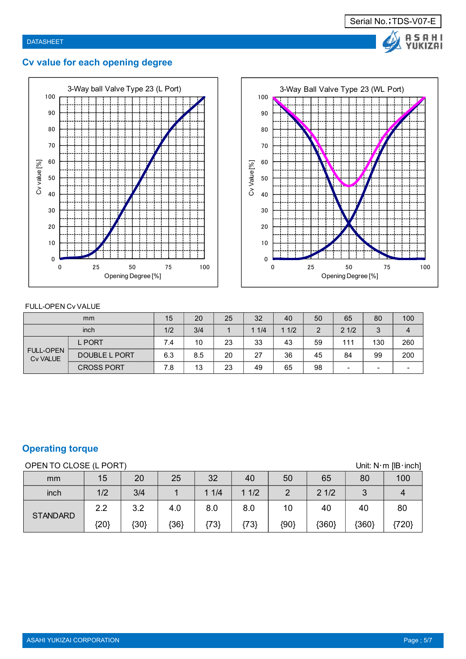

# **Cv value for each opening degree**





#### FULL-OPEN Cv VALUE

|                                     | mm                   | 15  | 20  | 25 | 32   | 40   | 50            | 65                       | 80                       | 100 |
|-------------------------------------|----------------------|-----|-----|----|------|------|---------------|--------------------------|--------------------------|-----|
|                                     | inch                 | 1/2 | 3/4 |    | 11/4 | 11/2 | $\mathcal{D}$ | 21/2                     | 3                        |     |
|                                     | <b>L PORT</b>        | 7.4 | 10  | 23 | 33   | 43   | 59            | 111                      | 130                      | 260 |
| <b>FULL-OPEN</b><br><b>Cv VALUE</b> | <b>DOUBLE L PORT</b> | 6.3 | 8.5 | 20 | 27   | 36   | 45            | 84                       | 99                       | 200 |
|                                     | <b>CROSS PORT</b>    | 7.8 | 13  | 23 | 49   | 65   | 98            | $\overline{\phantom{0}}$ | $\overline{\phantom{0}}$ |     |

# **Operating torque**

OPEN TO CLOSE (L PORT) Unit: N·m [IB·inch]

| mm              | 15   | 20   | 25     | 32  | 40                    | 50         | 65                    | 80              | 100   |
|-----------------|------|------|--------|-----|-----------------------|------------|-----------------------|-----------------|-------|
| inch            | 1/2  | 3/4  |        | 1/4 | 1/2<br>$\blacksquare$ | $\sqrt{2}$ | 1/2<br>$\overline{2}$ | $\sqrt{2}$<br>ັ |       |
| <b>STANDARD</b> | 2.2  | 3.2  | 4.0    | 8.0 | 8.0                   | 10         | 40                    | 40              | 80    |
|                 | {20} | {30} | ${36}$ | 73  | ${73}$                | {90}       | {360}                 | ${360}$         | {720} |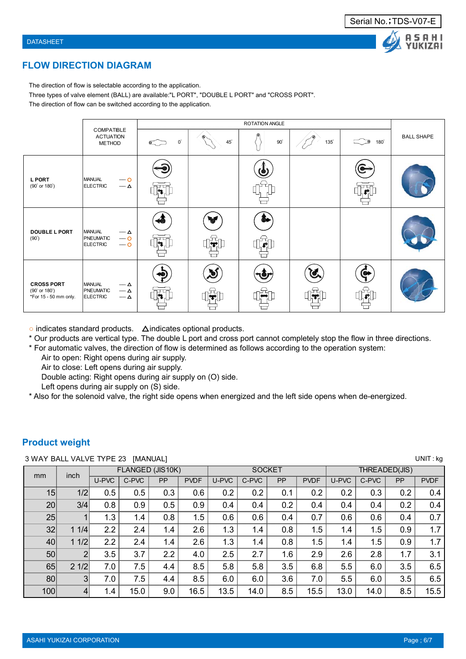#### **FLOW DIRECTION DIAGRAM**

The direction of flow is selectable according to the application.

Three types of valve element (BALL) are available:"L PORT", "DOUBLE L PORT" and "CROSS PORT".

The direction of flow can be switched according to the application.

|                                                             |                                                                         |             |                         | ROTATION ANGLE       |             |                                   |                   |
|-------------------------------------------------------------|-------------------------------------------------------------------------|-------------|-------------------------|----------------------|-------------|-----------------------------------|-------------------|
|                                                             | <b>COMPATIBLE</b><br><b>ACTUATION</b><br><b>METHOD</b>                  | $0^{\circ}$ | $45^\circ$              | $90^\circ$           | $135^\circ$ | $180^\circ$<br>Đ                  | <b>BALL SHAPE</b> |
| <b>L PORT</b><br>(90° or 180°)                              | MANUAL<br>$\overline{\phantom{a}}$<br><b>ELECTRIC</b><br>$-\Delta$      | h.          |                         |                      |             | F.                                |                   |
| <b>DOUBLE L PORT</b><br>$(90^{\circ})$                      | MANUAL<br>$-\Delta$<br>PNEUMATIC<br>$-0$<br>ELECTRIC<br>$-0$            | . । मु      | $\overline{\mathbf{r}}$ | .el                  |             |                                   |                   |
| <b>CROSS PORT</b><br>(90° or 180°)<br>*For 15 - 50 mm only. | MANUAL<br>$-\Delta$<br>PNEUMATIC<br>$-\Delta$<br><b>ELECTRIC</b><br>— ∆ | Ha.         | ∏खा                     | $\overline{\bullet}$ | l T         | $\circ$<br>$\left  \cdot \right $ |                   |

**○** indicates standard products. △ indicates optional products.

- \* Our products are vertical type. The double L port and cross port cannot completely stop the flow in three directions.
- \* For automatic valves, the direction of flow is determined as follows according to the operation system:

Air to open: Right opens during air supply.

Air to close: Left opens during air supply.

Double acting: Right opens during air supply on (O) side.

Left opens during air supply on (S) side.

\* Also for the solenoid valve, the right side opens when energized and the left side opens when de-energized.

#### **Product weight**

#### 3 WAY BALL VALVE TYPE 23 [MANUAL] UNIT : kg

|                 | V WAI DALL VALVL III L LV<br>$\mathbf{u}$<br>אייייט<br>FLANGED (JIS10K)<br><b>SOCKET</b><br>THREADED(JIS)<br>inch<br>U-PVC<br>C-PVC<br>U-PVC<br><b>PP</b><br><b>PVDF</b><br>C-PVC<br><b>PP</b><br><b>PVDF</b><br>C-PVC<br>U-PVC<br><b>PP</b><br><b>PVDF</b><br>15<br>1/2<br>0.5<br>0.5<br>0.3<br>0.6<br>0.2<br>0.2<br>0.2<br>0.1<br>0.2<br>0.3<br>0.2<br>0.4 |     |      |     |      |      |      |     |      |      |      |     |      |
|-----------------|--------------------------------------------------------------------------------------------------------------------------------------------------------------------------------------------------------------------------------------------------------------------------------------------------------------------------------------------------------------|-----|------|-----|------|------|------|-----|------|------|------|-----|------|
| mm              |                                                                                                                                                                                                                                                                                                                                                              |     |      |     |      |      |      |     |      |      |      |     |      |
|                 |                                                                                                                                                                                                                                                                                                                                                              |     |      |     |      |      |      |     |      |      |      |     |      |
|                 |                                                                                                                                                                                                                                                                                                                                                              |     |      |     |      |      |      |     |      |      |      |     |      |
| 20              | 3/4                                                                                                                                                                                                                                                                                                                                                          | 0.8 | 0.9  | 0.5 | 0.9  | 0.4  | 0.4  | 0.2 | 0.4  | 0.4  | 0.4  | 0.2 | 0.4  |
| 25              |                                                                                                                                                                                                                                                                                                                                                              | 1.3 | 1.4  | 0.8 | 1.5  | 0.6  | 0.6  | 0.4 | 0.7  | 0.6  | 0.6  | 0.4 | 0.7  |
| 32              | 11/4                                                                                                                                                                                                                                                                                                                                                         | 2.2 | 2.4  | 1.4 | 2.6  | 1.3  | 1.4  | 0.8 | 1.5  | 1.4  | 1.5  | 0.9 | 1.7  |
| 40              | 11/2                                                                                                                                                                                                                                                                                                                                                         | 2.2 | 2.4  | 1.4 | 2.6  | 1.3  | 1.4  | 0.8 | 1.5  | 1.4  | 1.5  | 0.9 | 1.7  |
| 50 <sub>1</sub> | $\overline{2}$                                                                                                                                                                                                                                                                                                                                               | 3.5 | 3.7  | 2.2 | 4.0  | 2.5  | 2.7  | 1.6 | 2.9  | 2.6  | 2.8  | 1.7 | 3.1  |
| 65              | 21/2                                                                                                                                                                                                                                                                                                                                                         | 7.0 | 7.5  | 4.4 | 8.5  | 5.8  | 5.8  | 3.5 | 6.8  | 5.5  | 6.0  | 3.5 | 6.5  |
| 80 <sup>°</sup> | 3 <sup>1</sup>                                                                                                                                                                                                                                                                                                                                               | 7.0 | 7.5  | 4.4 | 8.5  | 6.0  | 6.0  | 3.6 | 7.0  | 5.5  | 6.0  | 3.5 | 6.5  |
| 100             | $\vert 4 \vert$                                                                                                                                                                                                                                                                                                                                              | 1.4 | 15.0 | 9.0 | 16.5 | 13.5 | 14.0 | 8.5 | 15.5 | 13.0 | 14.0 | 8.5 | 15.5 |